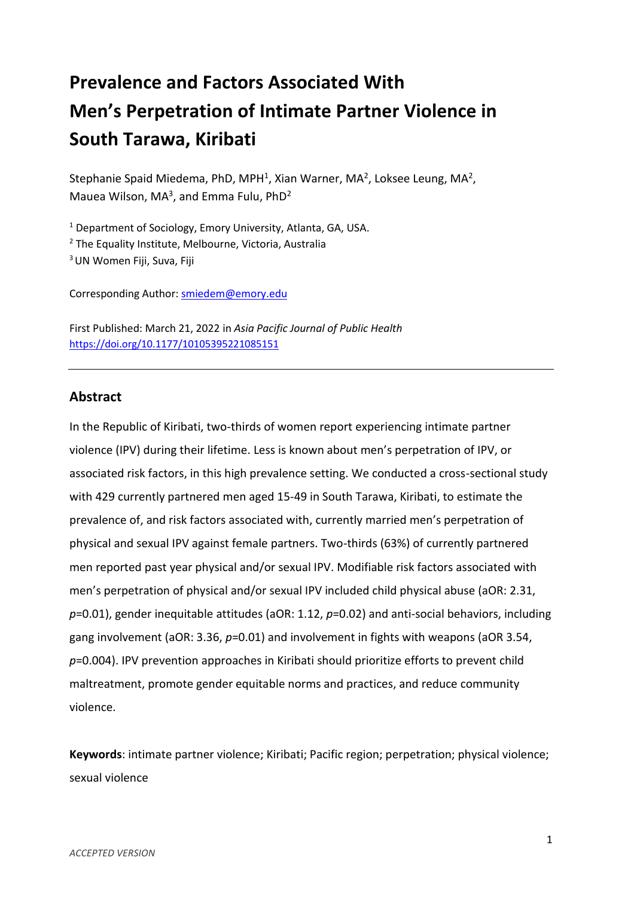# **Prevalence and Factors Associated With Men's Perpetration of Intimate Partner Violence in South Tarawa, Kiribati**

Stephanie Spaid Miedema, PhD, MPH<sup>1</sup>, Xian Warner, MA<sup>2</sup>, Loksee Leung, MA<sup>2</sup>, Mauea Wilson, MA<sup>3</sup>, and Emma Fulu, PhD<sup>2</sup>

 $1$  Department of Sociology, Emory University, Atlanta, GA, USA.

<sup>2</sup> The Equality Institute, Melbourne, Victoria, Australia

<sup>3</sup> UN Women Fiji, Suva, Fiji

Corresponding Author: [smiedem@emory.edu](mailto:smiedem@emory.edu)

First Published: March 21, 2022 in *Asia Pacific Journal of Public Health* <https://doi.org/10.1177/10105395221085151>

# **Abstract**

In the Republic of Kiribati, two-thirds of women report experiencing intimate partner violence (IPV) during their lifetime. Less is known about men's perpetration of IPV, or associated risk factors, in this high prevalence setting. We conducted a cross-sectional study with 429 currently partnered men aged 15-49 in South Tarawa, Kiribati, to estimate the prevalence of, and risk factors associated with, currently married men's perpetration of physical and sexual IPV against female partners. Two-thirds (63%) of currently partnered men reported past year physical and/or sexual IPV. Modifiable risk factors associated with men's perpetration of physical and/or sexual IPV included child physical abuse (aOR: 2.31, *p*=0.01), gender inequitable attitudes (aOR: 1.12, *p*=0.02) and anti-social behaviors, including gang involvement (aOR: 3.36, *p*=0.01) and involvement in fights with weapons (aOR 3.54, *p*=0.004). IPV prevention approaches in Kiribati should prioritize efforts to prevent child maltreatment, promote gender equitable norms and practices, and reduce community violence.

**Keywords**: intimate partner violence; Kiribati; Pacific region; perpetration; physical violence; sexual violence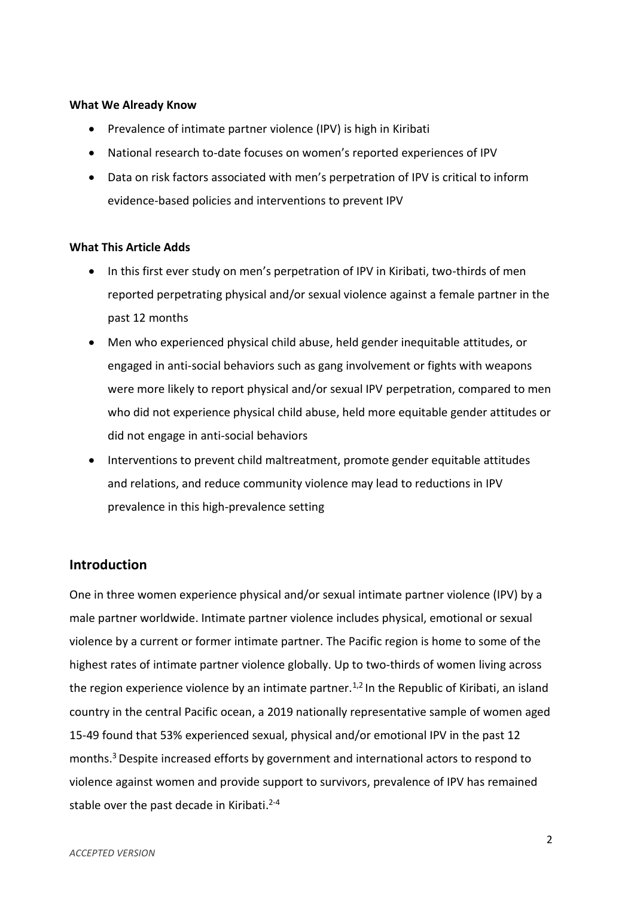## **What We Already Know**

- Prevalence of intimate partner violence (IPV) is high in Kiribati
- National research to-date focuses on women's reported experiences of IPV
- Data on risk factors associated with men's perpetration of IPV is critical to inform evidence-based policies and interventions to prevent IPV

## **What This Article Adds**

- In this first ever study on men's perpetration of IPV in Kiribati, two-thirds of men reported perpetrating physical and/or sexual violence against a female partner in the past 12 months
- Men who experienced physical child abuse, held gender inequitable attitudes, or engaged in anti-social behaviors such as gang involvement or fights with weapons were more likely to report physical and/or sexual IPV perpetration, compared to men who did not experience physical child abuse, held more equitable gender attitudes or did not engage in anti-social behaviors
- Interventions to prevent child maltreatment, promote gender equitable attitudes and relations, and reduce community violence may lead to reductions in IPV prevalence in this high-prevalence setting

# **Introduction**

One in three women experience physical and/or sexual intimate partner violence (IPV) by a male partner worldwide. Intimate partner violence includes physical, emotional or sexual violence by a current or former intimate partner. The Pacific region is home to some of the highest rates of intimate partner violence globally. Up to two-thirds of women living across the region experience violence by an intimate partner.<sup>1,2</sup> In the Republic of Kiribati, an island country in the central Pacific ocean, a 2019 nationally representative sample of women aged 15-49 found that 53% experienced sexual, physical and/or emotional IPV in the past 12 months. <sup>3</sup>Despite increased efforts by government and international actors to respond to violence against women and provide support to survivors, prevalence of IPV has remained stable over the past decade in Kiribati.<sup>2-4</sup>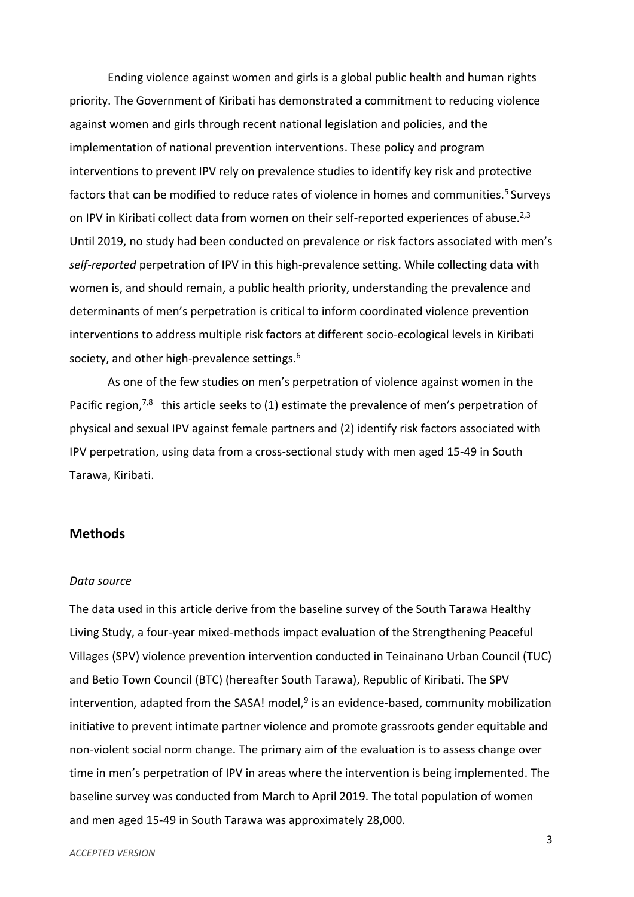Ending violence against women and girls is a global public health and human rights priority. The Government of Kiribati has demonstrated a commitment to reducing violence against women and girls through recent national legislation and policies, and the implementation of national prevention interventions. These policy and program interventions to prevent IPV rely on prevalence studies to identify key risk and protective factors that can be modified to reduce rates of violence in homes and communities.<sup>5</sup> Surveys on IPV in Kiribati collect data from women on their self-reported experiences of abuse. $^{2,3}$ Until 2019, no study had been conducted on prevalence or risk factors associated with men's *self-reported* perpetration of IPV in this high-prevalence setting. While collecting data with women is, and should remain, a public health priority, understanding the prevalence and determinants of men's perpetration is critical to inform coordinated violence prevention interventions to address multiple risk factors at different socio-ecological levels in Kiribati society, and other high-prevalence settings.<sup>6</sup>

As one of the few studies on men's perpetration of violence against women in the Pacific region,<sup>7,8</sup> this article seeks to (1) estimate the prevalence of men's perpetration of physical and sexual IPV against female partners and (2) identify risk factors associated with IPV perpetration, using data from a cross-sectional study with men aged 15-49 in South Tarawa, Kiribati.

# **Methods**

#### *Data source*

The data used in this article derive from the baseline survey of the South Tarawa Healthy Living Study, a four-year mixed-methods impact evaluation of the Strengthening Peaceful Villages (SPV) violence prevention intervention conducted in Teinainano Urban Council (TUC) and Betio Town Council (BTC) (hereafter South Tarawa), Republic of Kiribati. The SPV intervention, adapted from the SASA! model,<sup>9</sup> is an evidence-based, community mobilization initiative to prevent intimate partner violence and promote grassroots gender equitable and non-violent social norm change. The primary aim of the evaluation is to assess change over time in men's perpetration of IPV in areas where the intervention is being implemented. The baseline survey was conducted from March to April 2019. The total population of women and men aged 15-49 in South Tarawa was approximately 28,000.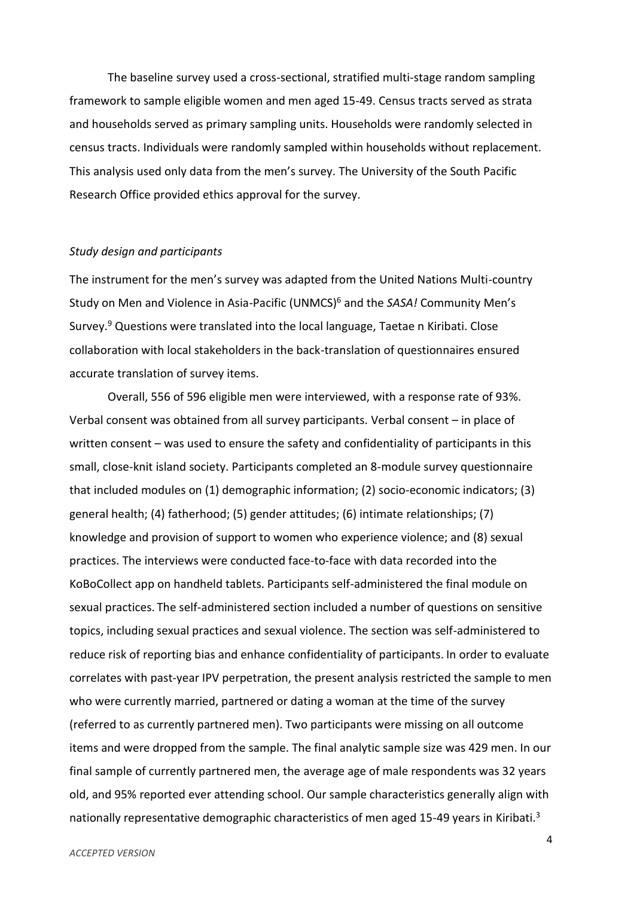The baseline survey used a cross-sectional, stratified multi-stage random sampling framework to sample eligible women and men aged 15-49. Census tracts served as strata and households served as primary sampling units. Households were randomly selected in census tracts. Individuals were randomly sampled within households without replacement. This analysis used only data from the men's survey. The University of the South Pacific Research Office provided ethics approval for the survey.

#### *Study design and participants*

The instrument for the men's survey was adapted from the United Nations Multi-country Study on Men and Violence in Asia-Pacific (UNMCS)<sup>6</sup> and the *SASA!* Community Men's Survey.<sup>9</sup> Questions were translated into the local language, Taetae n Kiribati. Close collaboration with local stakeholders in the back-translation of questionnaires ensured accurate translation of survey items.

Overall, 556 of 596 eligible men were interviewed, with a response rate of 93%. Verbal consent was obtained from all survey participants. Verbal consent – in place of written consent – was used to ensure the safety and confidentiality of participants in this small, close-knit island society. Participants completed an 8-module survey questionnaire that included modules on (1) demographic information; (2) socio-economic indicators; (3) general health; (4) fatherhood; (5) gender attitudes; (6) intimate relationships; (7) knowledge and provision of support to women who experience violence; and (8) sexual practices. The interviews were conducted face-to-face with data recorded into the KoBoCollect app on handheld tablets. Participants self-administered the final module on sexual practices. The self-administered section included a number of questions on sensitive topics, including sexual practices and sexual violence. The section was self-administered to reduce risk of reporting bias and enhance confidentiality of participants. In order to evaluate correlates with past-year IPV perpetration, the present analysis restricted the sample to men who were currently married, partnered or dating a woman at the time of the survey (referred to as currently partnered men). Two participants were missing on all outcome items and were dropped from the sample. The final analytic sample size was 429 men. In our final sample of currently partnered men, the average age of male respondents was 32 years old, and 95% reported ever attending school. Our sample characteristics generally align with nationally representative demographic characteristics of men aged 15-49 years in Kiribati.<sup>3</sup>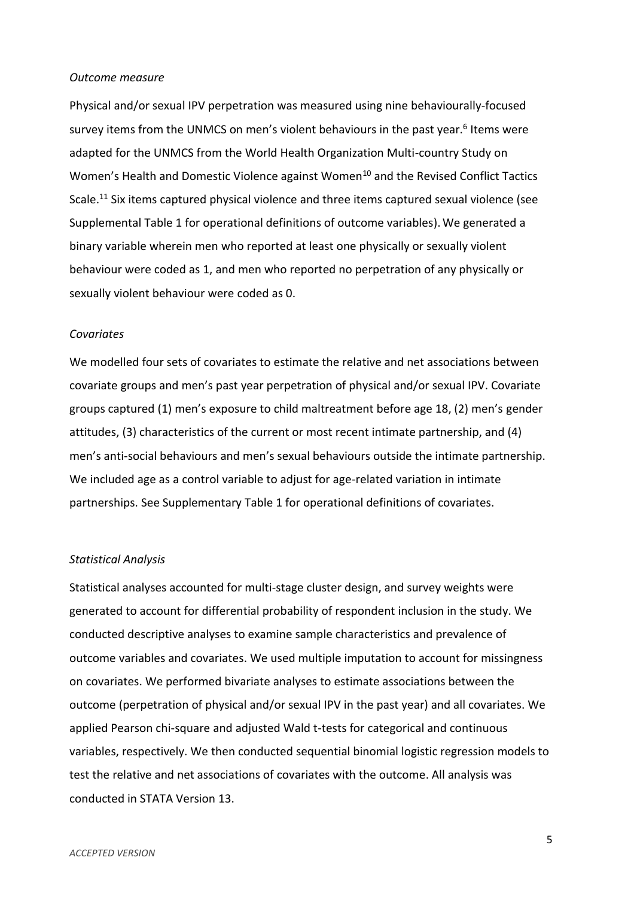#### *Outcome measure*

Physical and/or sexual IPV perpetration was measured using nine behaviourally-focused survey items from the UNMCS on men's violent behaviours in the past year.<sup>6</sup> Items were adapted for the UNMCS from the World Health Organization Multi-country Study on Women's Health and Domestic Violence against Women<sup>10</sup> and the Revised Conflict Tactics Scale.<sup>11</sup> Six items captured physical violence and three items captured sexual violence (see Supplemental Table 1 for operational definitions of outcome variables).We generated a binary variable wherein men who reported at least one physically or sexually violent behaviour were coded as 1, and men who reported no perpetration of any physically or sexually violent behaviour were coded as 0.

#### *Covariates*

We modelled four sets of covariates to estimate the relative and net associations between covariate groups and men's past year perpetration of physical and/or sexual IPV. Covariate groups captured (1) men's exposure to child maltreatment before age 18, (2) men's gender attitudes, (3) characteristics of the current or most recent intimate partnership, and (4) men's anti-social behaviours and men's sexual behaviours outside the intimate partnership. We included age as a control variable to adjust for age-related variation in intimate partnerships. See Supplementary Table 1 for operational definitions of covariates.

#### *Statistical Analysis*

Statistical analyses accounted for multi-stage cluster design, and survey weights were generated to account for differential probability of respondent inclusion in the study. We conducted descriptive analyses to examine sample characteristics and prevalence of outcome variables and covariates. We used multiple imputation to account for missingness on covariates. We performed bivariate analyses to estimate associations between the outcome (perpetration of physical and/or sexual IPV in the past year) and all covariates. We applied Pearson chi-square and adjusted Wald t-tests for categorical and continuous variables, respectively. We then conducted sequential binomial logistic regression models to test the relative and net associations of covariates with the outcome. All analysis was conducted in STATA Version 13.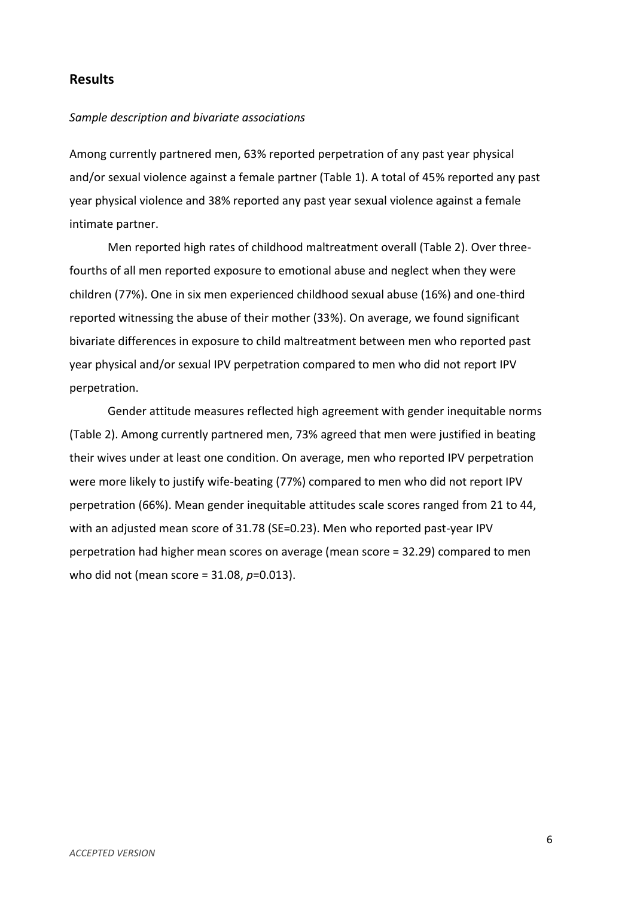# **Results**

#### *Sample description and bivariate associations*

Among currently partnered men, 63% reported perpetration of any past year physical and/or sexual violence against a female partner (Table 1). A total of 45% reported any past year physical violence and 38% reported any past year sexual violence against a female intimate partner.

Men reported high rates of childhood maltreatment overall (Table 2). Over threefourths of all men reported exposure to emotional abuse and neglect when they were children (77%). One in six men experienced childhood sexual abuse (16%) and one-third reported witnessing the abuse of their mother (33%). On average, we found significant bivariate differences in exposure to child maltreatment between men who reported past year physical and/or sexual IPV perpetration compared to men who did not report IPV perpetration.

Gender attitude measures reflected high agreement with gender inequitable norms (Table 2). Among currently partnered men, 73% agreed that men were justified in beating their wives under at least one condition. On average, men who reported IPV perpetration were more likely to justify wife-beating (77%) compared to men who did not report IPV perpetration (66%). Mean gender inequitable attitudes scale scores ranged from 21 to 44, with an adjusted mean score of 31.78 (SE=0.23). Men who reported past-year IPV perpetration had higher mean scores on average (mean score = 32.29) compared to men who did not (mean score = 31.08, *p*=0.013).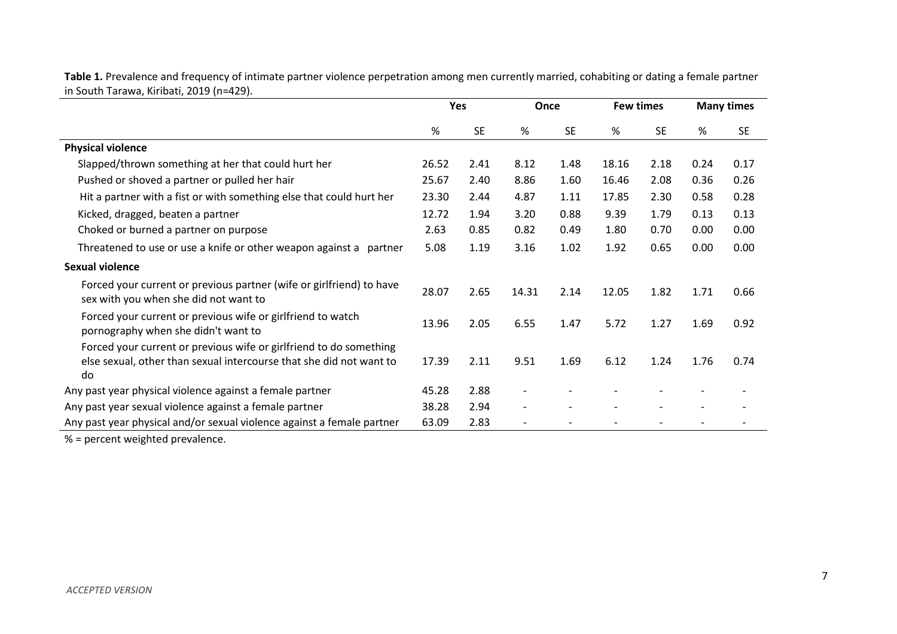| $111$ JOULIT TUTUWA, KITIDULI, 2017 (11-427).                                                                                                   | Yes   |           | Once  |           | <b>Few times</b> |           |      | <b>Many times</b> |
|-------------------------------------------------------------------------------------------------------------------------------------------------|-------|-----------|-------|-----------|------------------|-----------|------|-------------------|
|                                                                                                                                                 | %     | <b>SE</b> | %     | <b>SE</b> | %                | <b>SE</b> | %    | <b>SE</b>         |
| <b>Physical violence</b>                                                                                                                        |       |           |       |           |                  |           |      |                   |
| Slapped/thrown something at her that could hurt her                                                                                             | 26.52 | 2.41      | 8.12  | 1.48      | 18.16            | 2.18      | 0.24 | 0.17              |
| Pushed or shoved a partner or pulled her hair                                                                                                   | 25.67 | 2.40      | 8.86  | 1.60      | 16.46            | 2.08      | 0.36 | 0.26              |
| Hit a partner with a fist or with something else that could hurt her                                                                            | 23.30 | 2.44      | 4.87  | 1.11      | 17.85            | 2.30      | 0.58 | 0.28              |
| Kicked, dragged, beaten a partner                                                                                                               | 12.72 | 1.94      | 3.20  | 0.88      | 9.39             | 1.79      | 0.13 | 0.13              |
| Choked or burned a partner on purpose                                                                                                           | 2.63  | 0.85      | 0.82  | 0.49      | 1.80             | 0.70      | 0.00 | 0.00              |
| Threatened to use or use a knife or other weapon against a<br>partner                                                                           | 5.08  | 1.19      | 3.16  | 1.02      | 1.92             | 0.65      | 0.00 | 0.00              |
| <b>Sexual violence</b>                                                                                                                          |       |           |       |           |                  |           |      |                   |
| Forced your current or previous partner (wife or girlfriend) to have<br>sex with you when she did not want to                                   | 28.07 | 2.65      | 14.31 | 2.14      | 12.05            | 1.82      | 1.71 | 0.66              |
| Forced your current or previous wife or girlfriend to watch<br>pornography when she didn't want to                                              | 13.96 | 2.05      | 6.55  | 1.47      | 5.72             | 1.27      | 1.69 | 0.92              |
| Forced your current or previous wife or girlfriend to do something<br>else sexual, other than sexual intercourse that she did not want to<br>do | 17.39 | 2.11      | 9.51  | 1.69      | 6.12             | 1.24      | 1.76 | 0.74              |
| Any past year physical violence against a female partner                                                                                        | 45.28 | 2.88      |       |           |                  |           |      |                   |
| Any past year sexual violence against a female partner                                                                                          |       | 2.94      |       |           |                  |           |      |                   |
| Any past year physical and/or sexual violence against a female partner                                                                          | 63.09 | 2.83      |       |           |                  |           |      |                   |

**Table 1.** Prevalence and frequency of intimate partner violence perpetration among men currently married, cohabiting or dating a female partner in South Tarawa, Kiribati, 2019 (n=429).

% = percent weighted prevalence.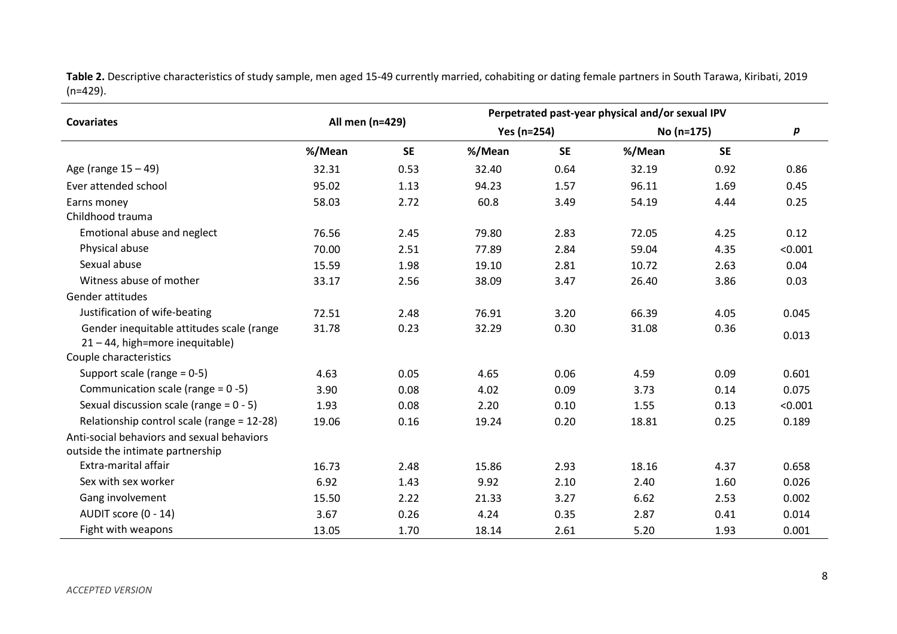**Table 2.** Descriptive characteristics of study sample, men aged 15-49 currently married, cohabiting or dating female partners in South Tarawa, Kiribati, 2019 (n=429).

|                                            | All men (n=429) |           | Perpetrated past-year physical and/or sexual IPV |           |            |           |         |  |  |  |  |
|--------------------------------------------|-----------------|-----------|--------------------------------------------------|-----------|------------|-----------|---------|--|--|--|--|
| <b>Covariates</b>                          |                 |           | Yes (n=254)                                      |           | No (n=175) | р         |         |  |  |  |  |
|                                            | %/Mean          | <b>SE</b> | %/Mean                                           | <b>SE</b> | %/Mean     | <b>SE</b> |         |  |  |  |  |
| Age (range $15 - 49$ )                     | 32.31           | 0.53      | 32.40                                            | 0.64      | 32.19      | 0.92      | 0.86    |  |  |  |  |
| Ever attended school                       | 95.02           | 1.13      | 94.23                                            | 1.57      | 96.11      | 1.69      | 0.45    |  |  |  |  |
| Earns money                                | 58.03           | 2.72      | 60.8                                             | 3.49      | 54.19      | 4.44      | 0.25    |  |  |  |  |
| Childhood trauma                           |                 |           |                                                  |           |            |           |         |  |  |  |  |
| Emotional abuse and neglect                | 76.56           | 2.45      | 79.80                                            | 2.83      | 72.05      | 4.25      | 0.12    |  |  |  |  |
| Physical abuse                             | 70.00           | 2.51      | 77.89                                            | 2.84      | 59.04      | 4.35      | < 0.001 |  |  |  |  |
| Sexual abuse                               | 15.59           | 1.98      | 19.10                                            | 2.81      | 10.72      | 2.63      | 0.04    |  |  |  |  |
| Witness abuse of mother                    | 33.17           | 2.56      | 38.09                                            | 3.47      | 26.40      | 3.86      | 0.03    |  |  |  |  |
| Gender attitudes                           |                 |           |                                                  |           |            |           |         |  |  |  |  |
| Justification of wife-beating              | 72.51           | 2.48      | 76.91                                            | 3.20      | 66.39      | 4.05      | 0.045   |  |  |  |  |
| Gender inequitable attitudes scale (range  | 31.78           | 0.23      | 32.29                                            | 0.30      | 31.08      | 0.36      |         |  |  |  |  |
| 21 - 44, high=more inequitable)            |                 |           |                                                  |           |            |           | 0.013   |  |  |  |  |
| Couple characteristics                     |                 |           |                                                  |           |            |           |         |  |  |  |  |
| Support scale (range $= 0-5$ )             | 4.63            | 0.05      | 4.65                                             | 0.06      | 4.59       | 0.09      | 0.601   |  |  |  |  |
| Communication scale (range = 0 -5)         | 3.90            | 0.08      | 4.02                                             | 0.09      | 3.73       | 0.14      | 0.075   |  |  |  |  |
| Sexual discussion scale (range = $0 - 5$ ) | 1.93            | 0.08      | 2.20                                             | 0.10      | 1.55       | 0.13      | < 0.001 |  |  |  |  |
| Relationship control scale (range = 12-28) | 19.06           | 0.16      | 19.24                                            | 0.20      | 18.81      | 0.25      | 0.189   |  |  |  |  |
| Anti-social behaviors and sexual behaviors |                 |           |                                                  |           |            |           |         |  |  |  |  |
| outside the intimate partnership           |                 |           |                                                  |           |            |           |         |  |  |  |  |
| Extra-marital affair                       | 16.73           | 2.48      | 15.86                                            | 2.93      | 18.16      | 4.37      | 0.658   |  |  |  |  |
| Sex with sex worker                        | 6.92            | 1.43      | 9.92                                             | 2.10      | 2.40       | 1.60      | 0.026   |  |  |  |  |
| Gang involvement                           | 15.50           | 2.22      | 21.33                                            | 3.27      | 6.62       | 2.53      | 0.002   |  |  |  |  |
| AUDIT score (0 - 14)                       | 3.67            | 0.26      | 4.24                                             | 0.35      | 2.87       | 0.41      | 0.014   |  |  |  |  |
| Fight with weapons                         | 13.05           | 1.70      | 18.14                                            | 2.61      | 5.20       | 1.93      | 0.001   |  |  |  |  |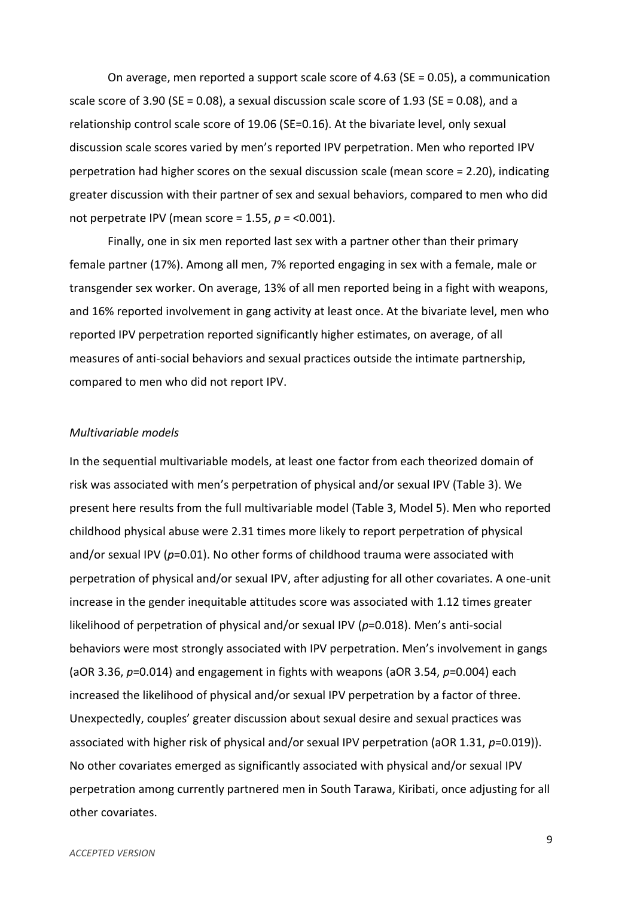On average, men reported a support scale score of 4.63 (SE = 0.05), a communication scale score of 3.90 (SE = 0.08), a sexual discussion scale score of 1.93 (SE = 0.08), and a relationship control scale score of 19.06 (SE=0.16). At the bivariate level, only sexual discussion scale scores varied by men's reported IPV perpetration. Men who reported IPV perpetration had higher scores on the sexual discussion scale (mean score = 2.20), indicating greater discussion with their partner of sex and sexual behaviors, compared to men who did not perpetrate IPV (mean score = 1.55, *p* = <0.001).

Finally, one in six men reported last sex with a partner other than their primary female partner (17%). Among all men, 7% reported engaging in sex with a female, male or transgender sex worker. On average, 13% of all men reported being in a fight with weapons, and 16% reported involvement in gang activity at least once. At the bivariate level, men who reported IPV perpetration reported significantly higher estimates, on average, of all measures of anti-social behaviors and sexual practices outside the intimate partnership, compared to men who did not report IPV.

#### *Multivariable models*

In the sequential multivariable models, at least one factor from each theorized domain of risk was associated with men's perpetration of physical and/or sexual IPV (Table 3). We present here results from the full multivariable model (Table 3, Model 5). Men who reported childhood physical abuse were 2.31 times more likely to report perpetration of physical and/or sexual IPV (*p*=0.01). No other forms of childhood trauma were associated with perpetration of physical and/or sexual IPV, after adjusting for all other covariates. A one-unit increase in the gender inequitable attitudes score was associated with 1.12 times greater likelihood of perpetration of physical and/or sexual IPV (*p*=0.018). Men's anti-social behaviors were most strongly associated with IPV perpetration. Men's involvement in gangs (aOR 3.36, *p*=0.014) and engagement in fights with weapons (aOR 3.54, *p*=0.004) each increased the likelihood of physical and/or sexual IPV perpetration by a factor of three. Unexpectedly, couples' greater discussion about sexual desire and sexual practices was associated with higher risk of physical and/or sexual IPV perpetration (aOR 1.31, *p*=0.019)). No other covariates emerged as significantly associated with physical and/or sexual IPV perpetration among currently partnered men in South Tarawa, Kiribati, once adjusting for all other covariates.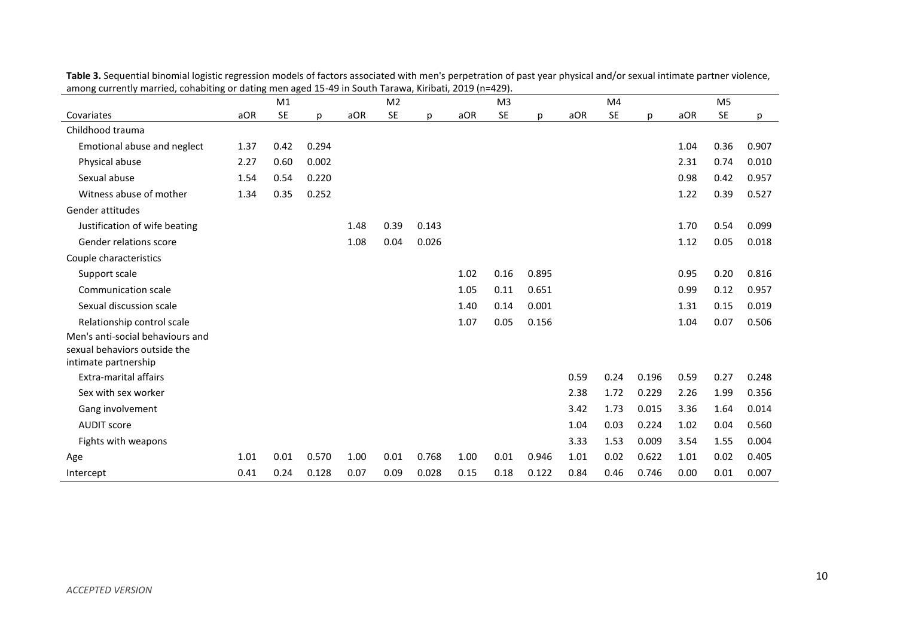| aniong currentiy married, conabiting or dating men aged 15-49 in South Tarawa, Kinbati, 2019 (n–429). |      | M1        |       |      | M <sub>2</sub> |       |      | M <sub>3</sub> |       |      | M <sub>4</sub> |       |      | M <sub>5</sub> |       |
|-------------------------------------------------------------------------------------------------------|------|-----------|-------|------|----------------|-------|------|----------------|-------|------|----------------|-------|------|----------------|-------|
| Covariates                                                                                            | aOR  | <b>SE</b> | р     | aOR  | <b>SE</b>      | р     | aOR  | <b>SE</b>      | p     | aOR  | <b>SE</b>      | p     | aOR  | SE             | р     |
| Childhood trauma                                                                                      |      |           |       |      |                |       |      |                |       |      |                |       |      |                |       |
| Emotional abuse and neglect                                                                           | 1.37 | 0.42      | 0.294 |      |                |       |      |                |       |      |                |       | 1.04 | 0.36           | 0.907 |
| Physical abuse                                                                                        | 2.27 | 0.60      | 0.002 |      |                |       |      |                |       |      |                |       | 2.31 | 0.74           | 0.010 |
| Sexual abuse                                                                                          | 1.54 | 0.54      | 0.220 |      |                |       |      |                |       |      |                |       | 0.98 | 0.42           | 0.957 |
| Witness abuse of mother                                                                               | 1.34 | 0.35      | 0.252 |      |                |       |      |                |       |      |                |       | 1.22 | 0.39           | 0.527 |
| Gender attitudes                                                                                      |      |           |       |      |                |       |      |                |       |      |                |       |      |                |       |
| Justification of wife beating                                                                         |      |           |       | 1.48 | 0.39           | 0.143 |      |                |       |      |                |       | 1.70 | 0.54           | 0.099 |
| Gender relations score                                                                                |      |           |       | 1.08 | 0.04           | 0.026 |      |                |       |      |                |       | 1.12 | 0.05           | 0.018 |
| Couple characteristics                                                                                |      |           |       |      |                |       |      |                |       |      |                |       |      |                |       |
| Support scale                                                                                         |      |           |       |      |                |       | 1.02 | 0.16           | 0.895 |      |                |       | 0.95 | 0.20           | 0.816 |
| Communication scale                                                                                   |      |           |       |      |                |       | 1.05 | 0.11           | 0.651 |      |                |       | 0.99 | 0.12           | 0.957 |
| Sexual discussion scale                                                                               |      |           |       |      |                |       | 1.40 | 0.14           | 0.001 |      |                |       | 1.31 | 0.15           | 0.019 |
| Relationship control scale                                                                            |      |           |       |      |                |       | 1.07 | 0.05           | 0.156 |      |                |       | 1.04 | 0.07           | 0.506 |
| Men's anti-social behaviours and<br>sexual behaviors outside the                                      |      |           |       |      |                |       |      |                |       |      |                |       |      |                |       |
| intimate partnership                                                                                  |      |           |       |      |                |       |      |                |       |      |                |       |      |                |       |
| <b>Extra-marital affairs</b>                                                                          |      |           |       |      |                |       |      |                |       | 0.59 | 0.24           | 0.196 | 0.59 | 0.27           | 0.248 |
| Sex with sex worker                                                                                   |      |           |       |      |                |       |      |                |       | 2.38 | 1.72           | 0.229 | 2.26 | 1.99           | 0.356 |
| Gang involvement                                                                                      |      |           |       |      |                |       |      |                |       | 3.42 | 1.73           | 0.015 | 3.36 | 1.64           | 0.014 |
| <b>AUDIT score</b>                                                                                    |      |           |       |      |                |       |      |                |       | 1.04 | 0.03           | 0.224 | 1.02 | 0.04           | 0.560 |
| Fights with weapons                                                                                   |      |           |       |      |                |       |      |                |       | 3.33 | 1.53           | 0.009 | 3.54 | 1.55           | 0.004 |
| Age                                                                                                   | 1.01 | 0.01      | 0.570 | 1.00 | 0.01           | 0.768 | 1.00 | 0.01           | 0.946 | 1.01 | 0.02           | 0.622 | 1.01 | 0.02           | 0.405 |
| Intercept                                                                                             | 0.41 | 0.24      | 0.128 | 0.07 | 0.09           | 0.028 | 0.15 | 0.18           | 0.122 | 0.84 | 0.46           | 0.746 | 0.00 | 0.01           | 0.007 |

**Table 3.** Sequential binomial logistic regression models of factors associated with men's perpetration of past year physical and/or sexual intimate partner violence, among currently married, cohabiting or dating men aged 15-49 in South Tarawa, Kiribati, 2019 (n=429).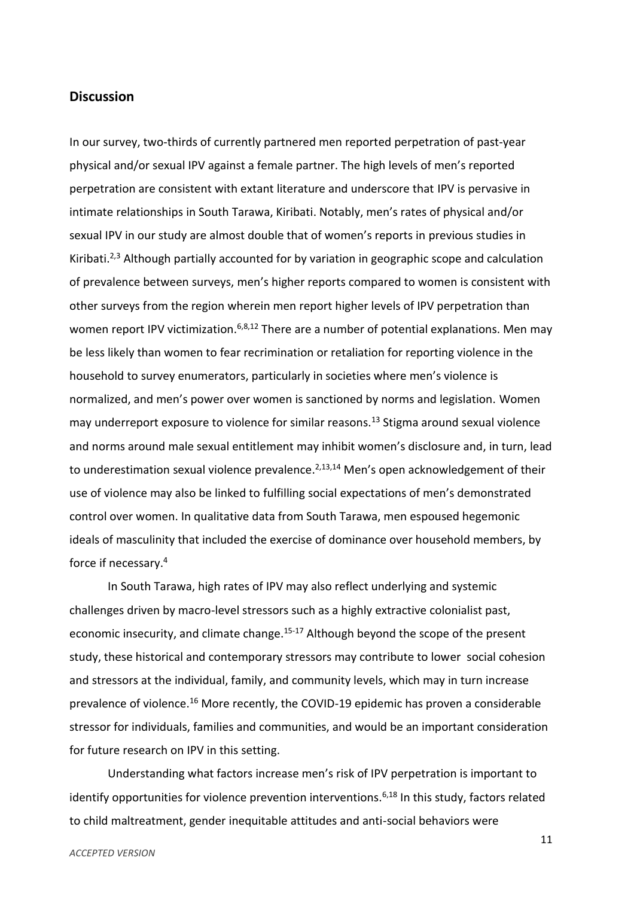## **Discussion**

In our survey, two-thirds of currently partnered men reported perpetration of past-year physical and/or sexual IPV against a female partner. The high levels of men's reported perpetration are consistent with extant literature and underscore that IPV is pervasive in intimate relationships in South Tarawa, Kiribati. Notably, men's rates of physical and/or sexual IPV in our study are almost double that of women's reports in previous studies in Kiribati.<sup>2,3</sup> Although partially accounted for by variation in geographic scope and calculation of prevalence between surveys, men's higher reports compared to women is consistent with other surveys from the region wherein men report higher levels of IPV perpetration than women report IPV victimization.<sup>6,8,12</sup> There are a number of potential explanations. Men may be less likely than women to fear recrimination or retaliation for reporting violence in the household to survey enumerators, particularly in societies where men's violence is normalized, and men's power over women is sanctioned by norms and legislation. Women may underreport exposure to violence for similar reasons.<sup>13</sup> Stigma around sexual violence and norms around male sexual entitlement may inhibit women's disclosure and, in turn, lead to underestimation sexual violence prevalence.<sup>2,13,14</sup> Men's open acknowledgement of their use of violence may also be linked to fulfilling social expectations of men's demonstrated control over women. In qualitative data from South Tarawa, men espoused hegemonic ideals of masculinity that included the exercise of dominance over household members, by force if necessary.<sup>4</sup>

In South Tarawa, high rates of IPV may also reflect underlying and systemic challenges driven by macro-level stressors such as a highly extractive colonialist past, economic insecurity, and climate change.<sup>15-17</sup> Although beyond the scope of the present study, these historical and contemporary stressors may contribute to lower social cohesion and stressors at the individual, family, and community levels, which may in turn increase prevalence of violence.<sup>16</sup> More recently, the COVID-19 epidemic has proven a considerable stressor for individuals, families and communities, and would be an important consideration for future research on IPV in this setting.

Understanding what factors increase men's risk of IPV perpetration is important to identify opportunities for violence prevention interventions.<sup>6,18</sup> In this study, factors related to child maltreatment, gender inequitable attitudes and anti-social behaviors were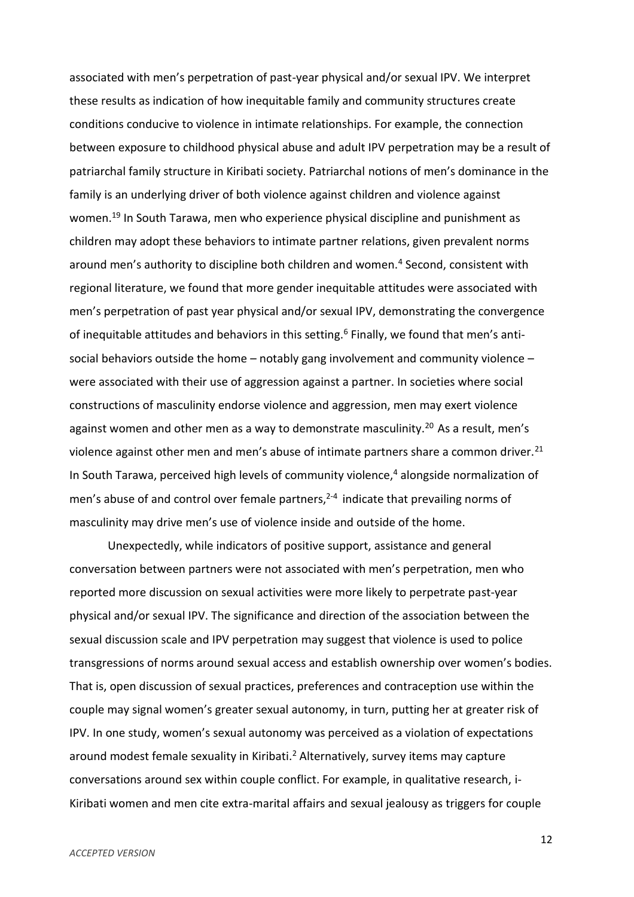associated with men's perpetration of past-year physical and/or sexual IPV. We interpret these results as indication of how inequitable family and community structures create conditions conducive to violence in intimate relationships. For example, the connection between exposure to childhood physical abuse and adult IPV perpetration may be a result of patriarchal family structure in Kiribati society. Patriarchal notions of men's dominance in the family is an underlying driver of both violence against children and violence against women.<sup>19</sup> In South Tarawa, men who experience physical discipline and punishment as children may adopt these behaviors to intimate partner relations, given prevalent norms around men's authority to discipline both children and women.<sup>4</sup> Second, consistent with regional literature, we found that more gender inequitable attitudes were associated with men's perpetration of past year physical and/or sexual IPV, demonstrating the convergence of inequitable attitudes and behaviors in this setting.<sup>6</sup> Finally, we found that men's antisocial behaviors outside the home – notably gang involvement and community violence – were associated with their use of aggression against a partner. In societies where social constructions of masculinity endorse violence and aggression, men may exert violence against women and other men as a way to demonstrate masculinity.<sup>20</sup> As a result, men's violence against other men and men's abuse of intimate partners share a common driver.<sup>21</sup> In South Tarawa, perceived high levels of community violence, $4$  alongside normalization of men's abuse of and control over female partners,<sup>2-4</sup> indicate that prevailing norms of masculinity may drive men's use of violence inside and outside of the home.

Unexpectedly, while indicators of positive support, assistance and general conversation between partners were not associated with men's perpetration, men who reported more discussion on sexual activities were more likely to perpetrate past-year physical and/or sexual IPV. The significance and direction of the association between the sexual discussion scale and IPV perpetration may suggest that violence is used to police transgressions of norms around sexual access and establish ownership over women's bodies. That is, open discussion of sexual practices, preferences and contraception use within the couple may signal women's greater sexual autonomy, in turn, putting her at greater risk of IPV. In one study, women's sexual autonomy was perceived as a violation of expectations around modest female sexuality in Kiribati.<sup>2</sup> Alternatively, survey items may capture conversations around sex within couple conflict. For example, in qualitative research, i-Kiribati women and men cite extra-marital affairs and sexual jealousy as triggers for couple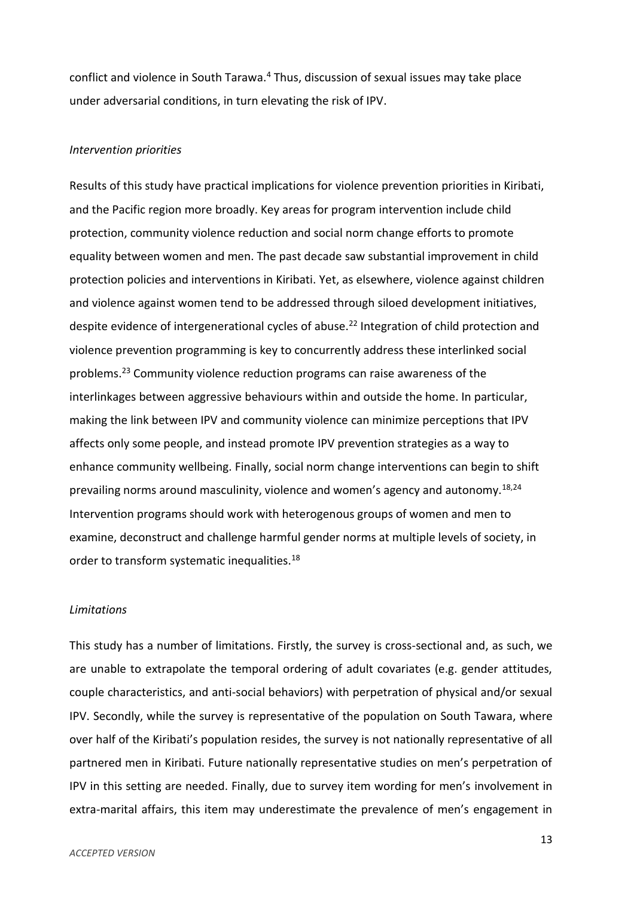conflict and violence in South Tarawa.<sup>4</sup> Thus, discussion of sexual issues may take place under adversarial conditions, in turn elevating the risk of IPV.

#### *Intervention priorities*

Results of this study have practical implications for violence prevention priorities in Kiribati, and the Pacific region more broadly. Key areas for program intervention include child protection, community violence reduction and social norm change efforts to promote equality between women and men. The past decade saw substantial improvement in child protection policies and interventions in Kiribati. Yet, as elsewhere, violence against children and violence against women tend to be addressed through siloed development initiatives, despite evidence of intergenerational cycles of abuse.<sup>22</sup> Integration of child protection and violence prevention programming is key to concurrently address these interlinked social problems.<sup>23</sup> Community violence reduction programs can raise awareness of the interlinkages between aggressive behaviours within and outside the home. In particular, making the link between IPV and community violence can minimize perceptions that IPV affects only some people, and instead promote IPV prevention strategies as a way to enhance community wellbeing. Finally, social norm change interventions can begin to shift prevailing norms around masculinity, violence and women's agency and autonomy.<sup>18,24</sup> Intervention programs should work with heterogenous groups of women and men to examine, deconstruct and challenge harmful gender norms at multiple levels of society, in order to transform systematic inequalities.<sup>18</sup>

#### *Limitations*

This study has a number of limitations. Firstly, the survey is cross-sectional and, as such, we are unable to extrapolate the temporal ordering of adult covariates (e.g. gender attitudes, couple characteristics, and anti-social behaviors) with perpetration of physical and/or sexual IPV. Secondly, while the survey is representative of the population on South Tawara, where over half of the Kiribati's population resides, the survey is not nationally representative of all partnered men in Kiribati. Future nationally representative studies on men's perpetration of IPV in this setting are needed. Finally, due to survey item wording for men's involvement in extra-marital affairs, this item may underestimate the prevalence of men's engagement in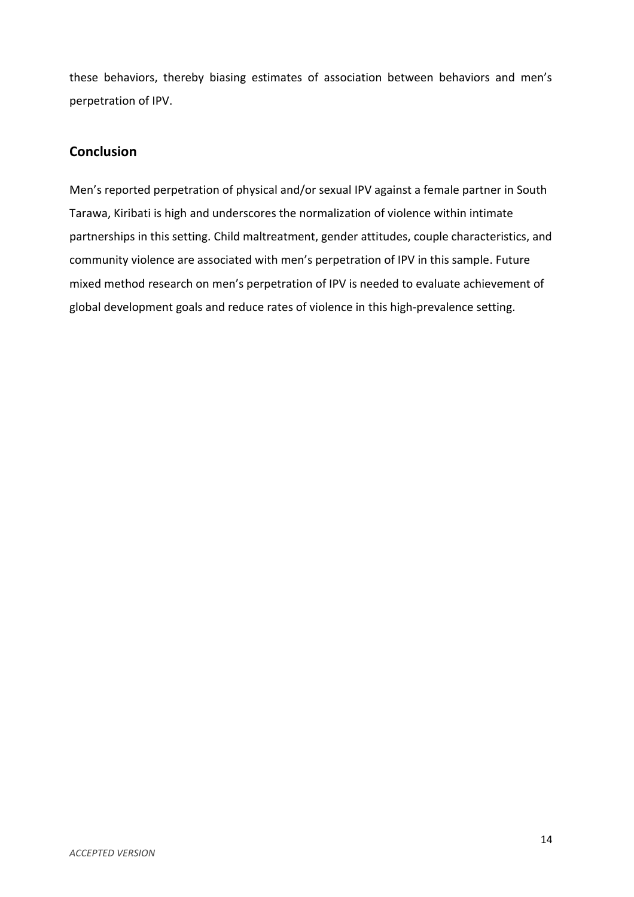these behaviors, thereby biasing estimates of association between behaviors and men's perpetration of IPV.

# **Conclusion**

Men's reported perpetration of physical and/or sexual IPV against a female partner in South Tarawa, Kiribati is high and underscores the normalization of violence within intimate partnerships in this setting. Child maltreatment, gender attitudes, couple characteristics, and community violence are associated with men's perpetration of IPV in this sample. Future mixed method research on men's perpetration of IPV is needed to evaluate achievement of global development goals and reduce rates of violence in this high-prevalence setting.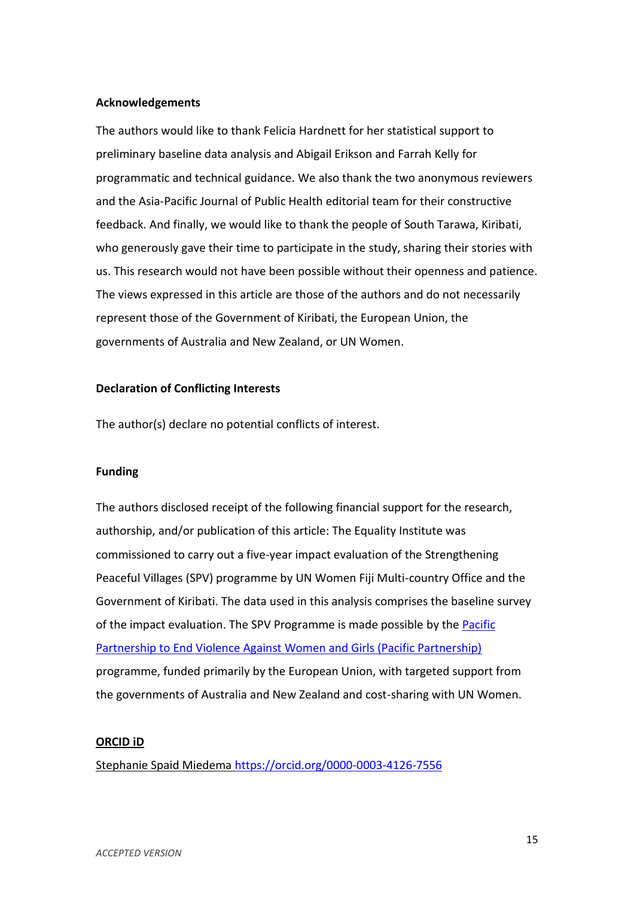## **Acknowledgements**

The authors would like to thank Felicia Hardnett for her statistical support to preliminary baseline data analysis and Abigail Erikson and Farrah Kelly for programmatic and technical guidance. We also thank the two anonymous reviewers and the Asia-Pacific Journal of Public Health editorial team for their constructive feedback. And finally, we would like to thank the people of South Tarawa, Kiribati, who generously gave their time to participate in the study, sharing their stories with us. This research would not have been possible without their openness and patience. The views expressed in this article are those of the authors and do not necessarily represent those of the Government of Kiribati, the European Union, the governments of Australia and New Zealand, or UN Women.

## **Declaration of Conflicting Interests**

The author(s) declare no potential conflicts of interest.

#### **Funding**

The authors disclosed receipt of the following financial support for the research, authorship, and/or publication of this article: The Equality Institute was commissioned to carry out a five-year impact evaluation of the Strengthening Peaceful Villages (SPV) programme by UN Women Fiji Multi-country Office and the Government of Kiribati. The data used in this analysis comprises the baseline survey of the impact evaluation. The SPV Programme is made possible by the Pacific [Partnership to End Violence Against Women and Girls \(Pacific Partnership\)](https://asiapacific.unwomen.org/en/countries/fiji/ending-violence-against-women/pacific-partnership) programme, funded primarily by the European Union, with targeted support from the governments of Australia and New Zealand and cost-sharing with UN Women.

## **ORCID iD**

Stephanie Spaid Miedema<https://orcid.org/0000-0003-4126-7556>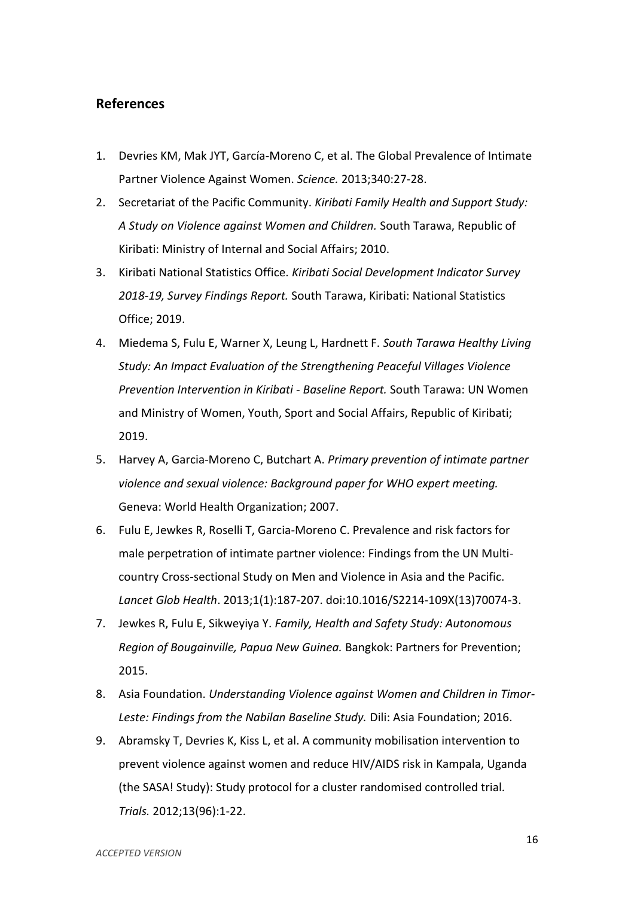## **References**

- 1. Devries KM, Mak JYT, García-Moreno C, et al. The Global Prevalence of Intimate Partner Violence Against Women. *Science.* 2013;340:27-28.
- 2. Secretariat of the Pacific Community. *Kiribati Family Health and Support Study: A Study on Violence against Women and Children.* South Tarawa, Republic of Kiribati: Ministry of Internal and Social Affairs; 2010.
- 3. Kiribati National Statistics Office. *Kiribati Social Development Indicator Survey 2018-19, Survey Findings Report.* South Tarawa, Kiribati: National Statistics Office; 2019.
- 4. Miedema S, Fulu E, Warner X, Leung L, Hardnett F. *South Tarawa Healthy Living Study: An Impact Evaluation of the Strengthening Peaceful Villages Violence Prevention Intervention in Kiribati - Baseline Report.* South Tarawa: UN Women and Ministry of Women, Youth, Sport and Social Affairs, Republic of Kiribati; 2019.
- 5. Harvey A, Garcia-Moreno C, Butchart A. *Primary prevention of intimate partner violence and sexual violence: Background paper for WHO expert meeting.*  Geneva: World Health Organization; 2007.
- 6. Fulu E, Jewkes R, Roselli T, Garcia-Moreno C. Prevalence and risk factors for male perpetration of intimate partner violence: Findings from the UN Multicountry Cross-sectional Study on Men and Violence in Asia and the Pacific. *Lancet Glob Health*. 2013;1(1):187-207. doi:10.1016/S2214-109X(13)70074-3.
- 7. Jewkes R, Fulu E, Sikweyiya Y. *Family, Health and Safety Study: Autonomous Region of Bougainville, Papua New Guinea.* Bangkok: Partners for Prevention; 2015.
- 8. Asia Foundation. *Understanding Violence against Women and Children in Timor-Leste: Findings from the Nabilan Baseline Study.* Dili: Asia Foundation; 2016.
- 9. Abramsky T, Devries K, Kiss L, et al. A community mobilisation intervention to prevent violence against women and reduce HIV/AIDS risk in Kampala, Uganda (the SASA! Study): Study protocol for a cluster randomised controlled trial. *Trials.* 2012;13(96):1-22.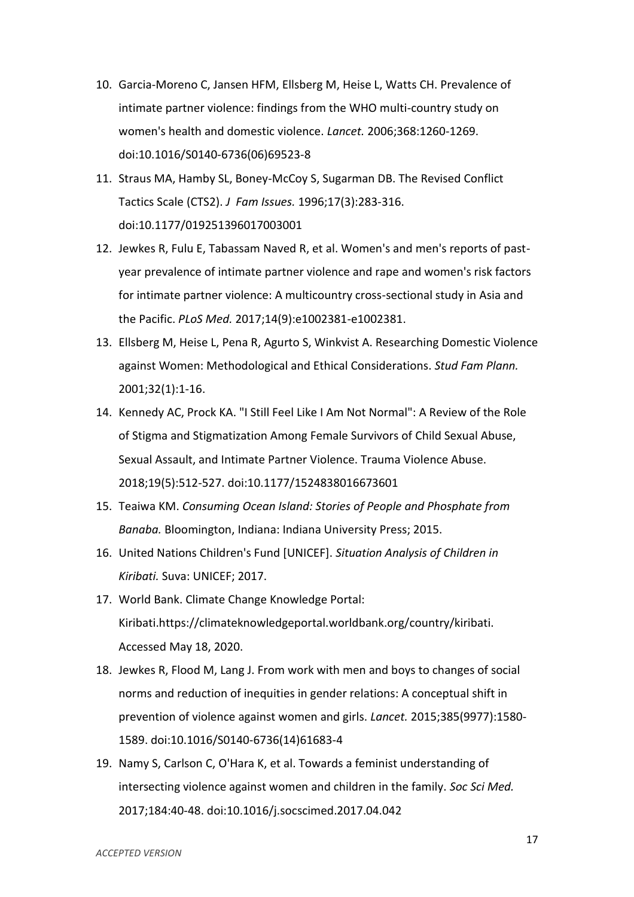- 10. Garcia-Moreno C, Jansen HFM, Ellsberg M, Heise L, Watts CH. Prevalence of intimate partner violence: findings from the WHO multi-country study on women's health and domestic violence. *Lancet.* 2006;368:1260-1269. doi:10.1016/S0140-6736(06)69523-8
- 11. Straus MA, Hamby SL, Boney-McCoy S, Sugarman DB. The Revised Conflict Tactics Scale (CTS2). *J Fam Issues.* 1996;17(3):283-316. doi:10.1177/019251396017003001
- 12. Jewkes R, Fulu E, Tabassam Naved R, et al. Women's and men's reports of pastyear prevalence of intimate partner violence and rape and women's risk factors for intimate partner violence: A multicountry cross-sectional study in Asia and the Pacific. *PLoS Med.* 2017;14(9):e1002381-e1002381.
- 13. Ellsberg M, Heise L, Pena R, Agurto S, Winkvist A. Researching Domestic Violence against Women: Methodological and Ethical Considerations. *Stud Fam Plann.*  2001;32(1):1-16.
- 14. Kennedy AC, Prock KA. "I Still Feel Like I Am Not Normal": A Review of the Role of Stigma and Stigmatization Among Female Survivors of Child Sexual Abuse, Sexual Assault, and Intimate Partner Violence. Trauma Violence Abuse. 2018;19(5):512-527. doi:10.1177/1524838016673601
- 15. Teaiwa KM. *Consuming Ocean Island: Stories of People and Phosphate from Banaba.* Bloomington, Indiana: Indiana University Press; 2015.
- 16. United Nations Children's Fund [UNICEF]. *Situation Analysis of Children in Kiribati.* Suva: UNICEF; 2017.
- 17. World Bank. Climate Change Knowledge Portal: Kiribati.https://climateknowledgeportal.worldbank.org/country/kiribati. Accessed May 18, 2020.
- 18. Jewkes R, Flood M, Lang J. From work with men and boys to changes of social norms and reduction of inequities in gender relations: A conceptual shift in prevention of violence against women and girls. *Lancet.* 2015;385(9977):1580- 1589. doi:10.1016/S0140-6736(14)61683-4
- 19. Namy S, Carlson C, O'Hara K, et al. Towards a feminist understanding of intersecting violence against women and children in the family. *Soc Sci Med.*  2017;184:40-48. doi:10.1016/j.socscimed.2017.04.042